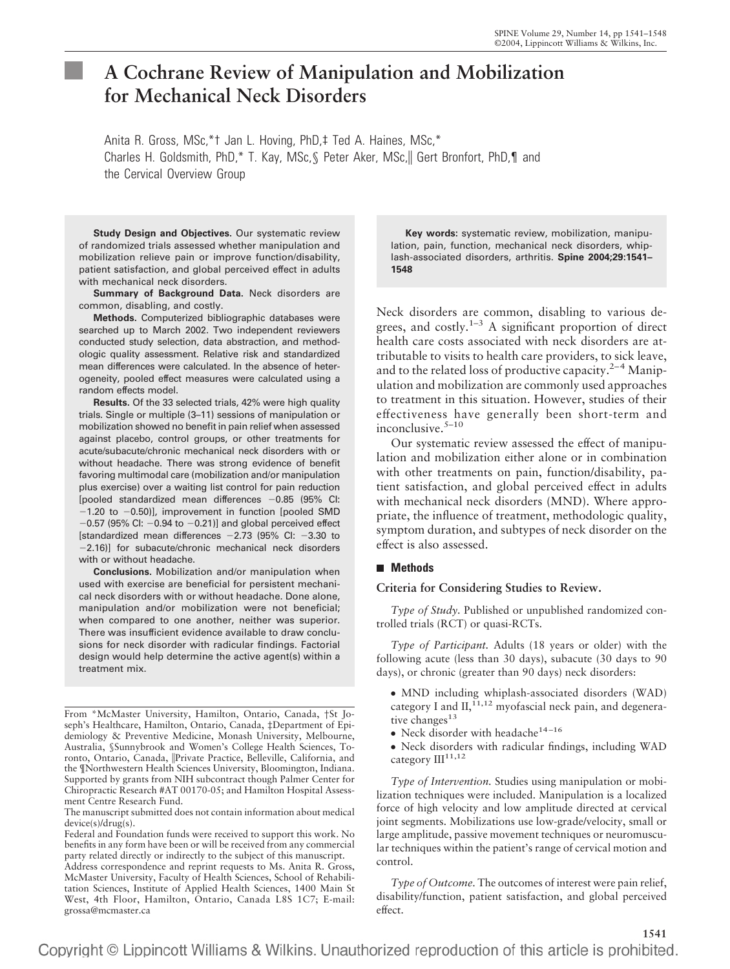# **A Cochrane Review of Manipulation and Mobilization for Mechanical Neck Disorders**

Anita R. Gross, MSc,\*† Jan L. Hoving, PhD,‡ Ted A. Haines, MSc,\* Charles H. Goldsmith, PhD,\* T. Kay, MSc, § Peter Aker, MSc,|| Gert Bronfort, PhD, ¶ and the Cervical Overview Group

**Study Design and Objectives.** Our systematic review of randomized trials assessed whether manipulation and mobilization relieve pain or improve function/disability, patient satisfaction, and global perceived effect in adults with mechanical neck disorders.

**Summary of Background Data.** Neck disorders are common, disabling, and costly.

**Methods.** Computerized bibliographic databases were searched up to March 2002. Two independent reviewers conducted study selection, data abstraction, and methodologic quality assessment. Relative risk and standardized mean differences were calculated. In the absence of heterogeneity, pooled effect measures were calculated using a random effects model.

**Results.** Of the 33 selected trials, 42% were high quality trials. Single or multiple (3–11) sessions of manipulation or mobilization showed no benefit in pain relief when assessed against placebo, control groups, or other treatments for acute/subacute/chronic mechanical neck disorders with or without headache. There was strong evidence of benefit favoring multimodal care (mobilization and/or manipulation plus exercise) over a waiting list control for pain reduction [pooled standardized mean differences  $-0.85$  (95% CI:  $-1.20$  to  $-0.50$ ], improvement in function [pooled SMD  $-0.57$  (95% Cl:  $-0.94$  to  $-0.21$ )] and global perceived effect [standardized mean differences  $-2.73$  (95% Cl:  $-3.30$  to 2.16)] for subacute/chronic mechanical neck disorders with or without headache.

**Conclusions.** Mobilization and/or manipulation when used with exercise are beneficial for persistent mechanical neck disorders with or without headache. Done alone, manipulation and/or mobilization were not beneficial; when compared to one another, neither was superior. There was insufficient evidence available to draw conclusions for neck disorder with radicular findings. Factorial design would help determine the active agent(s) within a treatment mix.

From \*McMaster University, Hamilton, Ontario, Canada, †St Joseph's Healthcare, Hamilton, Ontario, Canada, ‡Department of Epidemiology & Preventive Medicine, Monash University, Melbourne, Australia, §Sunnybrook and Women's College Health Sciences, Toronto, Ontario, Canada, Private Practice, Belleville, California, and the ¶Northwestern Health Sciences University, Bloomington, Indiana. Supported by grants from NIH subcontract though Palmer Center for Chiropractic Research #AT 00170-05; and Hamilton Hospital Assessment Centre Research Fund.

The manuscript submitted does not contain information about medical device(s)/drug(s).

Federal and Foundation funds were received to support this work. No benefits in any form have been or will be received from any commercial party related directly or indirectly to the subject of this manuscript.

Address correspondence and reprint requests to Ms. Anita R. Gross, McMaster University, Faculty of Health Sciences, School of Rehabilitation Sciences, Institute of Applied Health Sciences, 1400 Main St West, 4th Floor, Hamilton, Ontario, Canada L8S 1C7; E-mail: grossa@mcmaster.ca

**Key words:** systematic review, mobilization, manipulation, pain, function, mechanical neck disorders, whiplash-associated disorders, arthritis. **Spine 2004;29:1541– 1548**

Neck disorders are common, disabling to various degrees, and costly.1–3 A significant proportion of direct health care costs associated with neck disorders are attributable to visits to health care providers, to sick leave, and to the related loss of productive capacity. $2^{-4}$  Manipulation and mobilization are commonly used approaches to treatment in this situation. However, studies of their effectiveness have generally been short-term and inconclusive.<sup>5-10</sup>

Our systematic review assessed the effect of manipulation and mobilization either alone or in combination with other treatments on pain, function/disability, patient satisfaction, and global perceived effect in adults with mechanical neck disorders (MND). Where appropriate, the influence of treatment, methodologic quality, symptom duration, and subtypes of neck disorder on the effect is also assessed.

## **Methods**

## **Criteria for Considering Studies to Review.**

*Type of Study.* Published or unpublished randomized controlled trials (RCT) or quasi-RCTs.

*Type of Participant.* Adults (18 years or older) with the following acute (less than 30 days), subacute (30 days to 90 days), or chronic (greater than 90 days) neck disorders:

- MND including whiplash-associated disorders (WAD) category I and  $II$ ,<sup>11,12</sup> myofascial neck pain, and degenerative changes $13$
- $\bullet\,$  Neck disorder with headache  $^{14-16}$
- Neck disorders with radicular findings, including WAD category  $III^{11,12}$

*Type of Intervention.* Studies using manipulation or mobilization techniques were included. Manipulation is a localized force of high velocity and low amplitude directed at cervical joint segments. Mobilizations use low-grade/velocity, small or large amplitude, passive movement techniques or neuromuscular techniques within the patient's range of cervical motion and control.

*Type of Outcome.* The outcomes of interest were pain relief, disability/function, patient satisfaction, and global perceived effect.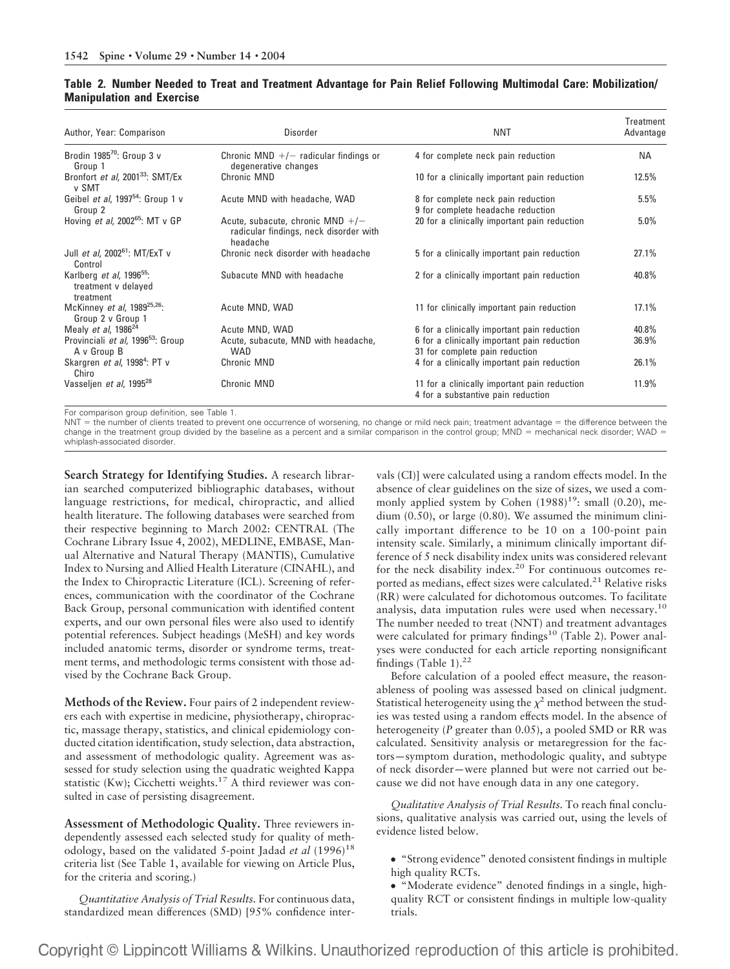| Author, Year: Comparison                                                 | <b>Disorder</b>                                                                          | <b>NNT</b>                                                                         | Treatment<br>Advantage |
|--------------------------------------------------------------------------|------------------------------------------------------------------------------------------|------------------------------------------------------------------------------------|------------------------|
| Brodin $1985^{70}$ : Group 3 v<br>Group 1                                | Chronic MND $+/-$ radicular findings or<br>degenerative changes                          | 4 for complete neck pain reduction                                                 | <b>NA</b>              |
| Bronfort et al, 2001 <sup>33</sup> : SMT/Ex<br>v SMT                     | Chronic MND                                                                              | 10 for a clinically important pain reduction                                       | 12.5%                  |
| Geibel <i>et al.</i> 1997 <sup>54</sup> : Group 1 v<br>Group 2           | Acute MND with headache, WAD                                                             | 8 for complete neck pain reduction<br>9 for complete headache reduction            | $5.5\%$                |
| Hoving et al, 2002 <sup>65</sup> : MT v GP                               | Acute, subacute, chronic MND $+/-$<br>radicular findings, neck disorder with<br>headache | 20 for a clinically important pain reduction                                       | 5.0%                   |
| Jull <i>et al</i> , 2002 <sup>61</sup> : MT/ExT v<br>Control             | Chronic neck disorder with headache                                                      | 5 for a clinically important pain reduction                                        | 27.1%                  |
| Karlberg et al, 1996 <sup>55</sup> :<br>treatment v delayed<br>treatment | Subacute MND with headache                                                               | 2 for a clinically important pain reduction                                        | 40.8%                  |
| McKinney et al, 1989 <sup>25,26</sup> :<br>Group 2 v Group 1             | Acute MND, WAD                                                                           | 11 for clinically important pain reduction                                         | 17.1%                  |
| Mealy <i>et al</i> , $1986^{24}$                                         | Acute MND, WAD                                                                           | 6 for a clinically important pain reduction                                        | 40.8%                  |
| Provinciali et al, 1996 <sup>53</sup> : Group<br>A v Group B             | Acute, subacute, MND with headache,<br>WAD                                               | 6 for a clinically important pain reduction<br>31 for complete pain reduction      | 36.9%                  |
| Skargren et al, 1998 <sup>4</sup> : PT v<br>Chiro                        | Chronic MND                                                                              | 4 for a clinically important pain reduction                                        | 26.1%                  |
| Vasseljen et al, 1995 <sup>28</sup>                                      | Chronic MND                                                                              | 11 for a clinically important pain reduction<br>4 for a substantive pain reduction | 11.9%                  |

## **Table 2. Number Needed to Treat and Treatment Advantage for Pain Relief Following Multimodal Care: Mobilization/ Manipulation and Exercise**

For comparison group definition, see Table 1.

NNT = the number of clients treated to prevent one occurrence of worsening, no change or mild neck pain; treatment advantage = the difference between the change in the treatment group divided by the baseline as a percent and a similar comparison in the control group;  $MND =$  mechanical neck disorder;  $WAD =$ whiplash-associated disorder.

**Search Strategy for Identifying Studies.** A research librarian searched computerized bibliographic databases, without language restrictions, for medical, chiropractic, and allied health literature. The following databases were searched from their respective beginning to March 2002: CENTRAL (The Cochrane Library Issue 4, 2002), MEDLINE, EMBASE, Manual Alternative and Natural Therapy (MANTIS), Cumulative Index to Nursing and Allied Health Literature (CINAHL), and the Index to Chiropractic Literature (ICL). Screening of references, communication with the coordinator of the Cochrane Back Group, personal communication with identified content experts, and our own personal files were also used to identify potential references. Subject headings (MeSH) and key words included anatomic terms, disorder or syndrome terms, treatment terms, and methodologic terms consistent with those advised by the Cochrane Back Group.

**Methods of the Review.** Four pairs of 2 independent reviewers each with expertise in medicine, physiotherapy, chiropractic, massage therapy, statistics, and clinical epidemiology conducted citation identification, study selection, data abstraction, and assessment of methodologic quality. Agreement was assessed for study selection using the quadratic weighted Kappa statistic (Kw); Cicchetti weights.<sup>17</sup> A third reviewer was consulted in case of persisting disagreement.

**Assessment of Methodologic Quality.** Three reviewers independently assessed each selected study for quality of methodology, based on the validated 5-point Jadad et al (1996)<sup>18</sup> criteria list (See Table 1, available for viewing on Article Plus, for the criteria and scoring.)

*Quantitative Analysis of Trial Results.* For continuous data, standardized mean differences (SMD) [95% confidence intervals (CI)] were calculated using a random effects model. In the absence of clear guidelines on the size of sizes, we used a commonly applied system by Cohen  $(1988)^{19}$ : small  $(0.20)$ , medium (0.50), or large (0.80). We assumed the minimum clinically important difference to be 10 on a 100-point pain intensity scale. Similarly, a minimum clinically important difference of 5 neck disability index units was considered relevant for the neck disability index.<sup>20</sup> For continuous outcomes reported as medians, effect sizes were calculated.<sup>21</sup> Relative risks (RR) were calculated for dichotomous outcomes. To facilitate analysis, data imputation rules were used when necessary.<sup>10</sup> The number needed to treat (NNT) and treatment advantages were calculated for primary findings<sup>10</sup> (Table 2). Power analyses were conducted for each article reporting nonsignificant findings (Table 1). $22$ 

Before calculation of a pooled effect measure, the reasonableness of pooling was assessed based on clinical judgment. Statistical heterogeneity using the  $\chi^2$  method between the studies was tested using a random effects model. In the absence of heterogeneity (*P* greater than 0.05), a pooled SMD or RR was calculated. Sensitivity analysis or metaregression for the factors—symptom duration, methodologic quality, and subtype of neck disorder—were planned but were not carried out because we did not have enough data in any one category.

*Qualitative Analysis of Trial Results.* To reach final conclusions, qualitative analysis was carried out, using the levels of evidence listed below.

- "Strong evidence" denoted consistent findings in multiple high quality RCTs.
- "Moderate evidence" denoted findings in a single, highquality RCT or consistent findings in multiple low-quality trials.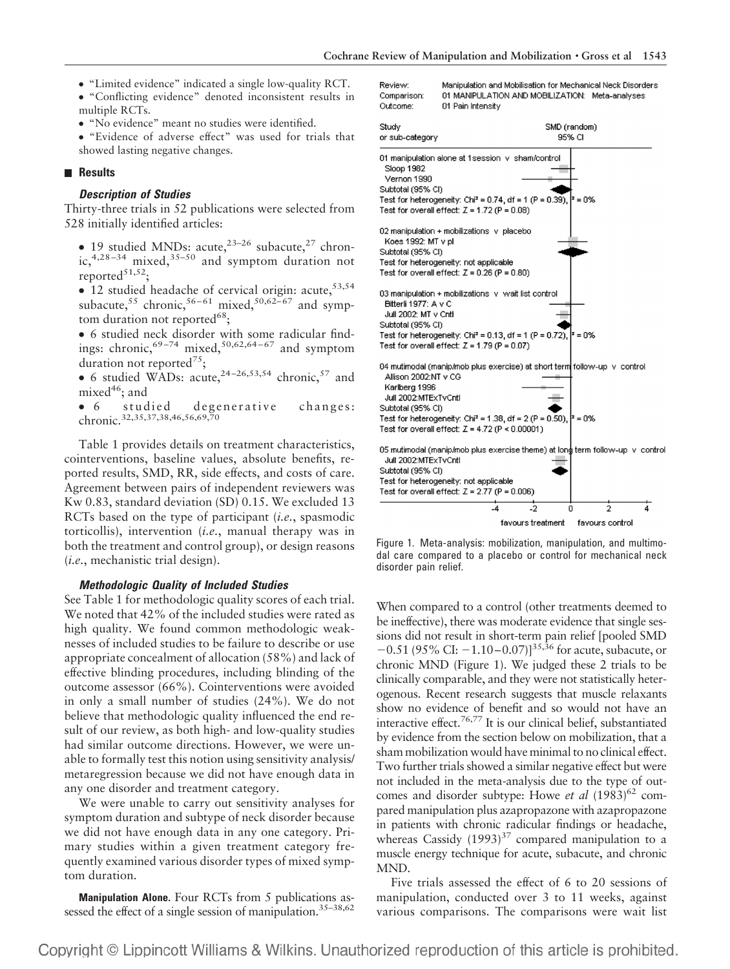● "Limited evidence" indicated a single low-quality RCT.

● "Conflicting evidence" denoted inconsistent results in multiple RCTs.

● "No evidence" meant no studies were identified.

● "Evidence of adverse effect" was used for trials that showed lasting negative changes.

## **Results**

## *Description of Studies*

Thirty-three trials in 52 publications were selected from 528 initially identified articles:

• 19 studied MNDs: acute,  $2^{3-26}$  subacute,  $2^{7}$  chronic,<sup>4,28-34</sup> mixed,<sup>35-50</sup> and symptom duration not reported $51,52$ :

• 12 studied headache of cervical origin: acute,  $53,54$ subacute,<sup>55</sup> chronic,<sup>56–61</sup> mixed,<sup>50,62–67</sup> and symptom duration not reported<sup>68</sup>;

● 6 studied neck disorder with some radicular findings: chronic,  $69-74$  mixed,  $50,62,64-67$  and symptom duration not reported<sup>75</sup>;

- $\bullet$  6 studied WADs: acute,<sup>24-26,53,54</sup> chronic,<sup>57</sup> and mixed $46$ ; and
- 6 studied degenerative changes: chronic.<sup>32,35,37,38,46,56,69,70</sup>

Table 1 provides details on treatment characteristics, cointerventions, baseline values, absolute benefits, reported results, SMD, RR, side effects, and costs of care. Agreement between pairs of independent reviewers was Kw 0.83, standard deviation (SD) 0.15. We excluded 13 RCTs based on the type of participant (*i.e.*, spasmodic torticollis), intervention (*i.e.*, manual therapy was in both the treatment and control group), or design reasons (*i.e.*, mechanistic trial design).

## *Methodologic Quality of Included Studies*

See Table 1 for methodologic quality scores of each trial. We noted that 42% of the included studies were rated as high quality. We found common methodologic weaknesses of included studies to be failure to describe or use appropriate concealment of allocation (58%) and lack of effective blinding procedures, including blinding of the outcome assessor (66%). Cointerventions were avoided in only a small number of studies (24%). We do not believe that methodologic quality influenced the end result of our review, as both high- and low-quality studies had similar outcome directions. However, we were unable to formally test this notion using sensitivity analysis/ metaregression because we did not have enough data in any one disorder and treatment category.

We were unable to carry out sensitivity analyses for symptom duration and subtype of neck disorder because we did not have enough data in any one category. Primary studies within a given treatment category frequently examined various disorder types of mixed symptom duration.

**Manipulation Alone.** Four RCTs from 5 publications assessed the effect of a single session of manipulation.<sup>35–38,62</sup>



Figure 1. Meta-analysis: mobilization, manipulation, and multimodal care compared to a placebo or control for mechanical neck disorder pain relief.

When compared to a control (other treatments deemed to be ineffective), there was moderate evidence that single sessions did not result in short-term pain relief [pooled SMD  $-0.51$  (95% CI:  $-1.10$ – $0.07$ )]<sup>35,36</sup> for acute, subacute, or chronic MND (Figure 1). We judged these 2 trials to be clinically comparable, and they were not statistically heterogenous. Recent research suggests that muscle relaxants show no evidence of benefit and so would not have an interactive effect.<sup>76,77</sup> It is our clinical belief, substantiated by evidence from the section below on mobilization, that a sham mobilization would have minimal to no clinical effect. Two further trials showed a similar negative effect but were not included in the meta-analysis due to the type of outcomes and disorder subtype: Howe *et al* (1983)<sup>62</sup> compared manipulation plus azapropazone with azapropazone in patients with chronic radicular findings or headache, whereas Cassidy  $(1993)^{37}$  compared manipulation to a muscle energy technique for acute, subacute, and chronic MND.

Five trials assessed the effect of 6 to 20 sessions of manipulation, conducted over 3 to 11 weeks, against various comparisons. The comparisons were wait list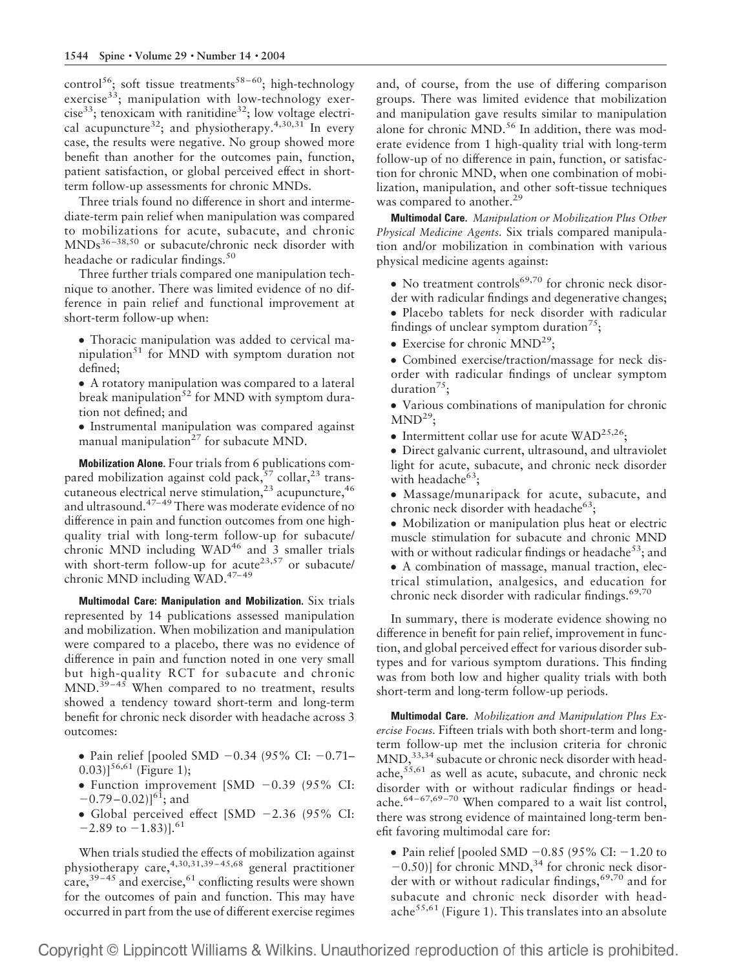control<sup>56</sup>; soft tissue treatments<sup>58-60</sup>; high-technology exercise<sup>33</sup>; manipulation with low-technology exercise<sup>33</sup>; tenoxicam with ranitidine<sup>32</sup>; low voltage electrical acupuncture<sup>32</sup>; and physiotherapy.<sup>4,30,31</sup> In every case, the results were negative. No group showed more benefit than another for the outcomes pain, function, patient satisfaction, or global perceived effect in shortterm follow-up assessments for chronic MNDs.

Three trials found no difference in short and intermediate-term pain relief when manipulation was compared to mobilizations for acute, subacute, and chronic MNDs<sup>36-38,50</sup> or subacute/chronic neck disorder with headache or radicular findings.<sup>50</sup>

Three further trials compared one manipulation technique to another. There was limited evidence of no difference in pain relief and functional improvement at short-term follow-up when:

- Thoracic manipulation was added to cervical manipulation $51$  for MND with symptom duration not defined;
- A rotatory manipulation was compared to a lateral break manipulation<sup>52</sup> for MND with symptom duration not defined; and
- Instrumental manipulation was compared against manual manipulation<sup>27</sup> for subacute MND.

**Mobilization Alone.** Four trials from 6 publications compared mobilization against cold pack, $57 \text{ collar}$ , $23 \text{ trans}$ cutaneous electrical nerve stimulation, $^{23}$  acupuncture,  $^{46}$ and ultrasound.47–49 There was moderate evidence of no difference in pain and function outcomes from one highquality trial with long-term follow-up for subacute/ chronic MND including WAD<sup>46</sup> and 3 smaller trials with short-term follow-up for acute<sup>23,57</sup> or subacute/ chronic MND including WAD.47–49

**Multimodal Care: Manipulation and Mobilization.** Six trials represented by 14 publications assessed manipulation and mobilization. When mobilization and manipulation were compared to a placebo, there was no evidence of difference in pain and function noted in one very small but high-quality RCT for subacute and chronic  $MND$ .<sup>39-45</sup> When compared to no treatment, results showed a tendency toward short-term and long-term benefit for chronic neck disorder with headache across 3 outcomes:

- Pain relief [pooled SMD  $-0.34$  (95% CI:  $-0.71 (0.03)$ ]<sup>56,61</sup> (Figure 1);
- Function improvement  $[SMD -0.39 (95\% \text{ CI}$ :  $[-0.79 - 0.02]^{61}$ ; and
- Global perceived effect [SMD  $-2.36$  (95% CI:  $-2.89$  to  $-1.83$ )].<sup>61</sup>

When trials studied the effects of mobilization against physiotherapy care, $4,30,31,39-45,68$  general practitioner care,<sup>39-45</sup> and exercise,<sup>61</sup> conflicting results were shown for the outcomes of pain and function. This may have occurred in part from the use of different exercise regimes and, of course, from the use of differing comparison groups. There was limited evidence that mobilization and manipulation gave results similar to manipulation alone for chronic MND.<sup>56</sup> In addition, there was moderate evidence from 1 high-quality trial with long-term follow-up of no difference in pain, function, or satisfaction for chronic MND, when one combination of mobilization, manipulation, and other soft-tissue techniques was compared to another.<sup>29</sup>

**Multimodal Care.** *Manipulation or Mobilization Plus Other Physical Medicine Agents.* Six trials compared manipulation and/or mobilization in combination with various physical medicine agents against:

• No treatment controls<sup>69,70</sup> for chronic neck disorder with radicular findings and degenerative changes;

● Placebo tablets for neck disorder with radicular findings of unclear symptom duration<sup>75</sup>;

• Exercise for chronic  $MND^{29}$ ;

• Combined exercise/traction/massage for neck disorder with radicular findings of unclear symptom duration $^{75}$ ;

● Various combinations of manipulation for chronic  $MND<sup>29</sup>$ ;

- Intermittent collar use for acute  $WAD^{25,26}$ ;
- Direct galvanic current, ultrasound, and ultraviolet light for acute, subacute, and chronic neck disorder with headache<sup>63</sup>;
- Massage/munaripack for acute, subacute, and chronic neck disorder with headache<sup>63</sup>;
- Mobilization or manipulation plus heat or electric muscle stimulation for subacute and chronic MND with or without radicular findings or headache $53$ ; and
- A combination of massage, manual traction, electrical stimulation, analgesics, and education for chronic neck disorder with radicular findings.<sup>69,70</sup>

In summary, there is moderate evidence showing no difference in benefit for pain relief, improvement in function, and global perceived effect for various disorder subtypes and for various symptom durations. This finding was from both low and higher quality trials with both short-term and long-term follow-up periods.

**Multimodal Care.** *Mobilization and Manipulation Plus Exercise Focus.* Fifteen trials with both short-term and longterm follow-up met the inclusion criteria for chronic MND,<sup>33,34</sup> subacute or chronic neck disorder with headache,<sup>55,61</sup> as well as acute, subacute, and chronic neck disorder with or without radicular findings or headache.64–67,69–70 When compared to a wait list control, there was strong evidence of maintained long-term benefit favoring multimodal care for:

• Pain relief [pooled SMD  $-0.85$  (95% CI:  $-1.20$  to  $-0.50$ ] for chronic MND,<sup>34</sup> for chronic neck disorder with or without radicular findings,  $69,70$  and for subacute and chronic neck disorder with headache $55,61$  (Figure 1). This translates into an absolute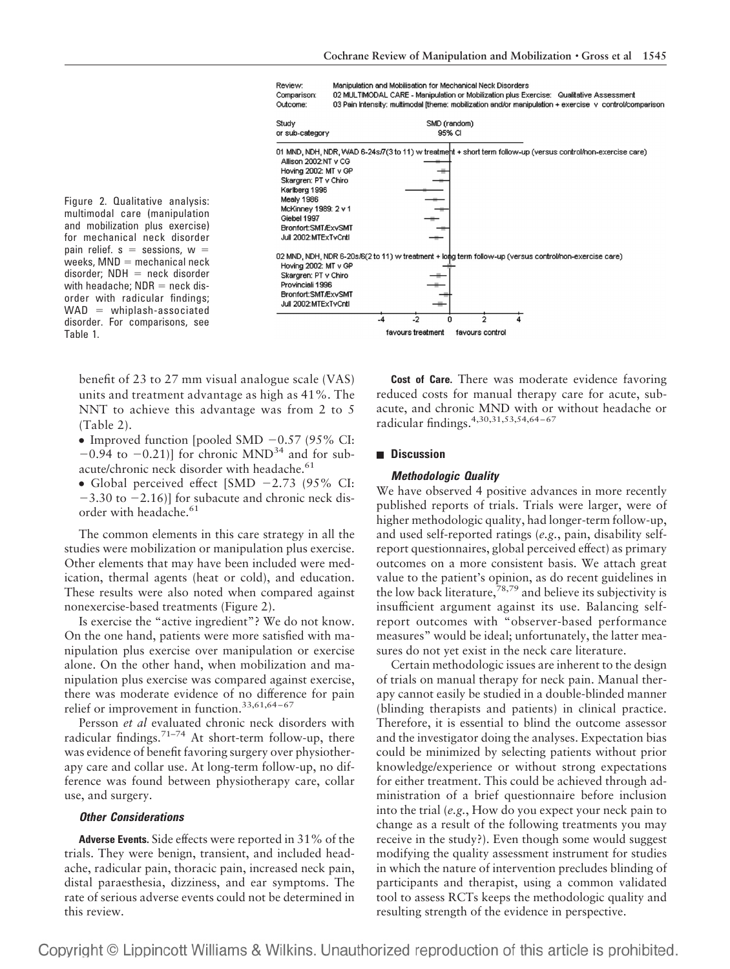

Figure 2. Qualitative analysis: multimodal care (manipulation and mobilization plus exercise) for mechanical neck disorder pain relief.  $s =$  sessions,  $w =$ weeks,  $MND$  = mechanical neck disorder;  $NDH = neck$  disorder with headache:  $NDR =$  neck disorder with radicular findings;  $WAD = whiplash-associated$ disorder. For comparisons, see Table 1.

> benefit of 23 to 27 mm visual analogue scale (VAS) units and treatment advantage as high as 41%. The NNT to achieve this advantage was from 2 to 5 (Table 2).

- Improved function [pooled SMD  $-0.57$  (95% CI:  $-0.94$  to  $-0.21$ ] for chronic MND<sup>34</sup> and for subacute/chronic neck disorder with headache.<sup>61</sup>
- Global perceived effect [SMD  $-2.73$  (95% CI:  $-3.30$  to  $-2.16$ )] for subacute and chronic neck disorder with headache.<sup>61</sup>

The common elements in this care strategy in all the studies were mobilization or manipulation plus exercise. Other elements that may have been included were medication, thermal agents (heat or cold), and education. These results were also noted when compared against nonexercise-based treatments (Figure 2).

Is exercise the "active ingredient"? We do not know. On the one hand, patients were more satisfied with manipulation plus exercise over manipulation or exercise alone. On the other hand, when mobilization and manipulation plus exercise was compared against exercise, there was moderate evidence of no difference for pain relief or improvement in function.33,61,64–67

Persson *et al* evaluated chronic neck disorders with radicular findings.<sup>71-74</sup> At short-term follow-up, there was evidence of benefit favoring surgery over physiotherapy care and collar use. At long-term follow-up, no difference was found between physiotherapy care, collar use, and surgery.

## *Other Considerations*

**Adverse Events.** Side effects were reported in 31% of the trials. They were benign, transient, and included headache, radicular pain, thoracic pain, increased neck pain, distal paraesthesia, dizziness, and ear symptoms. The rate of serious adverse events could not be determined in this review.

**Cost of Care.** There was moderate evidence favoring reduced costs for manual therapy care for acute, subacute, and chronic MND with or without headache or radicular findings.4,30,31,53,54,64–67

## **Discussion**

#### *Methodologic Quality*

We have observed 4 positive advances in more recently published reports of trials. Trials were larger, were of higher methodologic quality, had longer-term follow-up, and used self-reported ratings (*e.g.*, pain, disability selfreport questionnaires, global perceived effect) as primary outcomes on a more consistent basis. We attach great value to the patient's opinion, as do recent guidelines in the low back literature,  $78,79$  and believe its subjectivity is insufficient argument against its use. Balancing selfreport outcomes with "observer-based performance measures" would be ideal; unfortunately, the latter measures do not yet exist in the neck care literature.

Certain methodologic issues are inherent to the design of trials on manual therapy for neck pain. Manual therapy cannot easily be studied in a double-blinded manner (blinding therapists and patients) in clinical practice. Therefore, it is essential to blind the outcome assessor and the investigator doing the analyses. Expectation bias could be minimized by selecting patients without prior knowledge/experience or without strong expectations for either treatment. This could be achieved through administration of a brief questionnaire before inclusion into the trial (*e.g.*, How do you expect your neck pain to change as a result of the following treatments you may receive in the study?). Even though some would suggest modifying the quality assessment instrument for studies in which the nature of intervention precludes blinding of participants and therapist, using a common validated tool to assess RCTs keeps the methodologic quality and resulting strength of the evidence in perspective.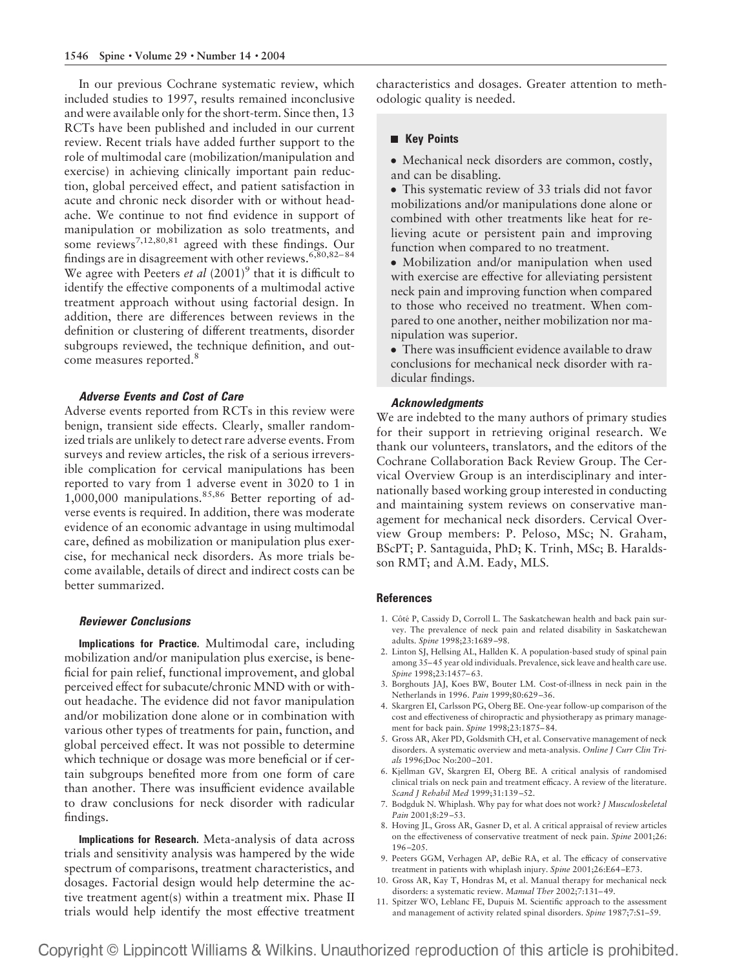In our previous Cochrane systematic review, which included studies to 1997, results remained inconclusive and were available only for the short-term. Since then, 13 RCTs have been published and included in our current review. Recent trials have added further support to the role of multimodal care (mobilization/manipulation and exercise) in achieving clinically important pain reduction, global perceived effect, and patient satisfaction in acute and chronic neck disorder with or without headache. We continue to not find evidence in support of manipulation or mobilization as solo treatments, and some reviews<sup>7,12,80,81</sup> agreed with these findings. Our findings are in disagreement with other reviews.6,80,82–84 We agree with Peeters *et al* (2001)<sup>9</sup> that it is difficult to identify the effective components of a multimodal active treatment approach without using factorial design. In addition, there are differences between reviews in the definition or clustering of different treatments, disorder subgroups reviewed, the technique definition, and outcome measures reported.<sup>8</sup>

### *Adverse Events and Cost of Care*

Adverse events reported from RCTs in this review were benign, transient side effects. Clearly, smaller randomized trials are unlikely to detect rare adverse events. From surveys and review articles, the risk of a serious irreversible complication for cervical manipulations has been reported to vary from 1 adverse event in 3020 to 1 in 1,000,000 manipulations.<sup>85,86</sup> Better reporting of adverse events is required. In addition, there was moderate evidence of an economic advantage in using multimodal care, defined as mobilization or manipulation plus exercise, for mechanical neck disorders. As more trials become available, details of direct and indirect costs can be better summarized.

### *Reviewer Conclusions*

**Implications for Practice.** Multimodal care, including mobilization and/or manipulation plus exercise, is beneficial for pain relief, functional improvement, and global perceived effect for subacute/chronic MND with or without headache. The evidence did not favor manipulation and/or mobilization done alone or in combination with various other types of treatments for pain, function, and global perceived effect. It was not possible to determine which technique or dosage was more beneficial or if certain subgroups benefited more from one form of care than another. There was insufficient evidence available to draw conclusions for neck disorder with radicular findings.

**Implications for Research.** Meta-analysis of data across trials and sensitivity analysis was hampered by the wide spectrum of comparisons, treatment characteristics, and dosages. Factorial design would help determine the active treatment agent(s) within a treatment mix. Phase II trials would help identify the most effective treatment characteristics and dosages. Greater attention to methodologic quality is needed.

# **Key Points**

• Mechanical neck disorders are common, costly, and can be disabling.

• This systematic review of 33 trials did not favor mobilizations and/or manipulations done alone or combined with other treatments like heat for relieving acute or persistent pain and improving function when compared to no treatment.

• Mobilization and/or manipulation when used with exercise are effective for alleviating persistent neck pain and improving function when compared to those who received no treatment. When compared to one another, neither mobilization nor manipulation was superior.

• There was insufficient evidence available to draw conclusions for mechanical neck disorder with radicular findings.

### *Acknowledgments*

We are indebted to the many authors of primary studies for their support in retrieving original research. We thank our volunteers, translators, and the editors of the Cochrane Collaboration Back Review Group. The Cervical Overview Group is an interdisciplinary and internationally based working group interested in conducting and maintaining system reviews on conservative management for mechanical neck disorders. Cervical Overview Group members: P. Peloso, MSc; N. Graham, BScPT; P. Santaguida, PhD; K. Trinh, MSc; B. Haraldsson RMT; and A.M. Eady, MLS.

## **References**

- 1. Côté P, Cassidy D, Corroll L. The Saskatchewan health and back pain survey. The prevalence of neck pain and related disability in Saskatchewan adults. *Spine* 1998;23:1689–98.
- 2. Linton SJ, Hellsing AL, Hallden K. A population-based study of spinal pain among 35–45 year old individuals. Prevalence, sick leave and health care use. *Spine* 1998;23:1457–63.
- 3. Borghouts JAJ, Koes BW, Bouter LM. Cost-of-illness in neck pain in the Netherlands in 1996. *Pain* 1999;80:629–36.
- 4. Skargren EI, Carlsson PG, Oberg BE. One-year follow-up comparison of the cost and effectiveness of chiropractic and physiotherapy as primary management for back pain. *Spine* 1998;23:1875–84.
- 5. Gross AR, Aker PD, Goldsmith CH, et al. Conservative management of neck disorders. A systematic overview and meta-analysis. *Online J Curr Clin Trials* 1996;Doc No:200–201.
- 6. Kjellman GV, Skargren EI, Oberg BE. A critical analysis of randomised clinical trials on neck pain and treatment efficacy. A review of the literature. *Scand J Rehabil Med* 1999;31:139–52.
- 7. Bodgduk N. Whiplash. Why pay for what does not work? *J Musculoskeletal Pain* 2001;8:29–53.
- 8. Hoving JL, Gross AR, Gasner D, et al. A critical appraisal of review articles on the effectiveness of conservative treatment of neck pain. *Spine* 2001;26: 196–205.
- 9. Peeters GGM, Verhagen AP, deBie RA, et al. The efficacy of conservative treatment in patients with whiplash injury. *Spine* 2001;26:E64–E73.
- 10. Gross AR, Kay T, Hondras M, et al. Manual therapy for mechanical neck disorders: a systematic review. *Manual Ther* 2002;7:131–49.
- 11. Spitzer WO, Leblanc FE, Dupuis M. Scientific approach to the assessment and management of activity related spinal disorders. *Spine* 1987;7:S1–59.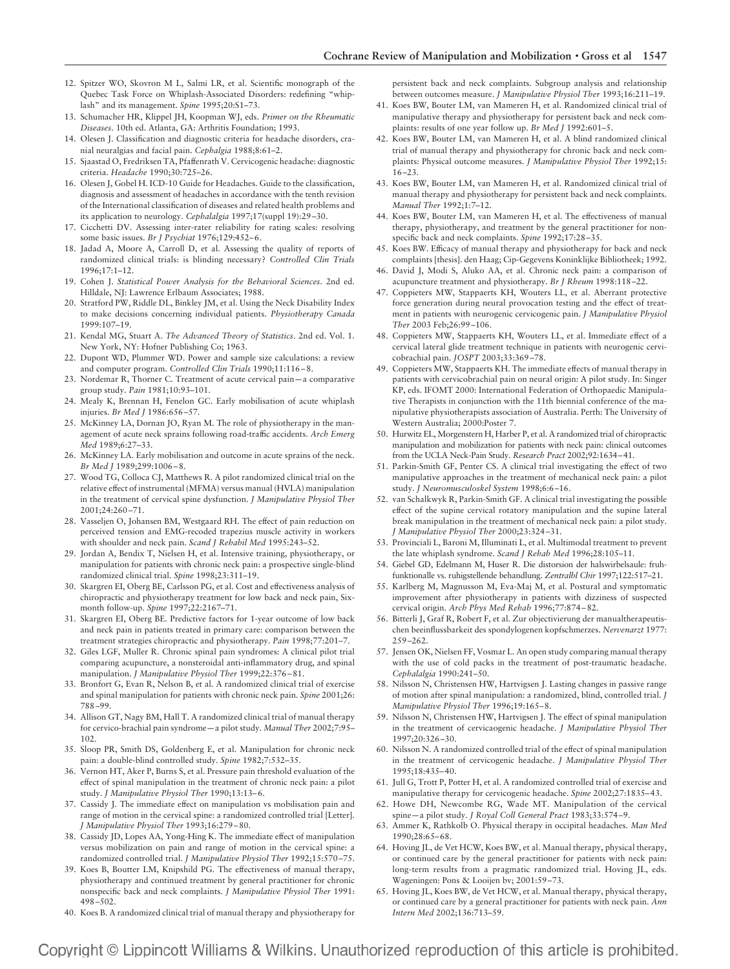- 12. Spitzer WO, Skovron M L, Salmi LR, et al. Scientific monograph of the Quebec Task Force on Whiplash-Associated Disorders: redefining "whiplash" and its management. *Spine* 1995;20:S1–73.
- 13. Schumacher HR, Klippel JH, Koopman WJ, eds. *Primer on the Rheumatic Diseases*. 10th ed. Atlanta, GA: Arthritis Foundation; 1993.
- 14. Olesen J. Classification and diagnostic criteria for headache disorders, cranial neuralgias and facial pain. *Cephalgia* 1988;8:61–2.
- 15. Sjaastad O, Fredriksen TA, Pfaffenrath V. Cervicogenic headache: diagnostic criteria. *Headache* 1990;30:725–26.
- 16. Olesen J, Gobel H. ICD-10 Guide for Headaches. Guide to the classification, diagnosis and assessment of headaches in accordance with the tenth revision of the International classification of diseases and related health problems and its application to neurology. *Cephalalgia* 1997;17(suppl 19):29–30.
- 17. Cicchetti DV. Assessing inter-rater reliability for rating scales: resolving some basic issues. *Br J Psychiat* 1976;129:452–6.
- 18. Jadad A, Moore A, Carroll D, et al. Assessing the quality of reports of randomized clinical trials: is blinding necessary? *Controlled Clin Trials* 1996;17:1–12.
- 19. Cohen J. *Statistical Power Analysis for the Behavioral Sciences*. 2nd ed. Hilldale, NJ: Lawrence Erlbaum Associates; 1988.
- 20. Stratford PW, Riddle DL, Binkley JM, et al. Using the Neck Disability Index to make decisions concerning individual patients. *Physiotherapy Canada* 1999:107–19.
- 21. Kendal MG, Stuart A. *The Advanced Theory of Statistics*. 2nd ed. Vol. 1. New York, NY: Hofner Publishing Co; 1963.
- 22. Dupont WD, Plummer WD. Power and sample size calculations: a review and computer program. *Controlled Clin Trials* 1990;11:116–8.
- 23. Nordemar R, Thorner C. Treatment of acute cervical pain—a comparative group study. *Pain* 1981;10:93–101.
- 24. Mealy K, Brennan H, Fenelon GC. Early mobilisation of acute whiplash injuries. *Br Med J* 1986:656–57.
- 25. McKinney LA, Dornan JO, Ryan M. The role of physiotherapy in the management of acute neck sprains following road-traffic accidents. *Arch Emerg Med* 1989;6:27–33.
- 26. McKinney LA. Early mobilisation and outcome in acute sprains of the neck. *Br Med J* 1989;299:1006–8.
- 27. Wood TG, Colloca CJ, Matthews R. A pilot randomized clinical trial on the relative effect of instrumental (MFMA) versus manual (HVLA) manipulation in the treatment of cervical spine dysfunction. *J Manipulative Physiol Ther* 2001;24:260–71.
- 28. Vasseljen O, Johansen BM, Westgaard RH. The effect of pain reduction on perceived tension and EMG-recoded trapezius muscle activity in workers with shoulder and neck pain. *Scand J Rehabil Med* 1995:243–52.
- 29. Jordan A, Bendix T, Nielsen H, et al. Intensive training, physiotherapy, or manipulation for patients with chronic neck pain: a prospective single-blind randomized clinical trial. *Spine* 1998;23:311–19.
- 30. Skargren EI, Oberg BE, Carlsson PG, et al. Cost and effectiveness analysis of chiropractic and physiotherapy treatment for low back and neck pain, Sixmonth follow-up. *Spine* 1997;22:2167–71.
- 31. Skargren EI, Oberg BE. Predictive factors for 1-year outcome of low back and neck pain in patients treated in primary care: comparison between the treatment strategies chiropractic and physiotherapy. *Pain* 1998;77:201–7.
- 32. Giles LGF, Muller R. Chronic spinal pain syndromes: A clinical pilot trial comparing acupuncture, a nonsteroidal anti-inflammatory drug, and spinal manipulation. *J Manipulative Physiol Ther* 1999;22:376–81.
- 33. Bronfort G, Evan R, Nelson B, et al. A randomized clinical trial of exercise and spinal manipulation for patients with chronic neck pain. *Spine* 2001;26: 788–99.
- 34. Allison GT, Nagy BM, Hall T. A randomized clinical trial of manual therapy for cervico-brachial pain syndrome—a pilot study. *Manual Ther* 2002;7:95– 102.
- 35. Sloop PR, Smith DS, Goldenberg E, et al. Manipulation for chronic neck pain: a double-blind controlled study. *Spine* 1982;7:532–35.
- 36. Vernon HT, Aker P, Burns S, et al. Pressure pain threshold evaluation of the effect of spinal manipulation in the treatment of chronic neck pain: a pilot study. *J Manipulative Physiol Ther* 1990;13:13–6.
- 37. Cassidy J. The immediate effect on manipulation vs mobilisation pain and range of motion in the cervical spine: a randomized controlled trial [Letter]. *J Manipulative Physiol Ther* 1993;16:279–80.
- 38. Cassidy JD, Lopes AA, Yong-Hing K. The immediate effect of manipulation versus mobilization on pain and range of motion in the cervical spine: a randomized controlled trial. *J Manipulative Physiol Ther* 1992;15:570–75.
- 39. Koes B, Boutter LM, Knipshild PG. The effectiveness of manual therapy, physiotherapy and continued treatment by general practitioner for chronic nonspecific back and neck complaints. *J Manipulative Physiol Ther* 1991: 498–502.
- 40. Koes B. A randomized clinical trial of manual therapy and physiotherapy for

persistent back and neck complaints. Subgroup analysis and relationship between outcomes measure. *J Manipulative Physiol Ther* 1993;16:211–19.

- 41. Koes BW, Bouter LM, van Mameren H, et al. Randomized clinical trial of manipulative therapy and physiotherapy for persistent back and neck complaints: results of one year follow up. *Br Med J* 1992:601–5.
- 42. Koes BW, Bouter LM, van Mameren H, et al. A blind randomized clinical trial of manual therapy and physiotherapy for chronic back and neck complaints: Physical outcome measures. *J Manipulative Physiol Ther* 1992;15: 16–23.
- 43. Koes BW, Bouter LM, van Mameren H, et al. Randomized clinical trial of manual therapy and physiotherapy for persistent back and neck complaints. *Manual Ther* 1992;1:7–12.
- 44. Koes BW, Bouter LM, van Mameren H, et al. The effectiveness of manual therapy, physiotherapy, and treatment by the general practitioner for nonspecific back and neck complaints. *Spine* 1992;17:28–35.
- 45. Koes BW. Efficacy of manual therapy and physiotherapy for back and neck complaints [thesis]. den Haag; Cip-Gegevens Koninklijke Bibliotheek; 1992.
- 46. David J, Modi S, Aluko AA, et al. Chronic neck pain: a comparison of acupuncture treatment and physiotherapy. *Br J Rheum* 1998:118–22.
- 47. Coppieters MW, Stappaerts KH, Wouters LL, et al. Aberrant protective force generation during neural provocation testing and the effect of treatment in patients with neurogenic cervicogenic pain. *J Manipulative Physiol Ther* 2003 Feb;26:99–106.
- 48. Coppieters MW, Stappaerts KH, Wouters LL, et al. Immediate effect of a cervical lateral glide treatment technique in patients with neurogenic cervicobrachial pain. *JOSPT* 2003;33:369–78.
- 49. Coppieters MW, Stappaerts KH. The immediate effects of manual therapy in patients with cervicobrachial pain on neural origin: A pilot study. In: Singer KP, eds. IFOMT 2000: International Federation of Orthopaedic Manipulative Therapists in conjunction with the 11th biennial conference of the manipulative physiotherapists association of Australia. Perth: The University of Western Australia; 2000:Poster 7.
- 50. Hurwitz EL, Morgenstern H, Harber P, et al. A randomized trial of chiropractic manipulation and mobilization for patients with neck pain: clinical outcomes from the UCLA Neck-Pain Study. *Research Pract* 2002;92:1634–41.
- 51. Parkin-Smith GF, Penter CS. A clinical trial investigating the effect of two manipulative approaches in the treatment of mechanical neck pain: a pilot study. *J Neuromusculoskel System* 1998;6:6–16.
- 52. van Schalkwyk R, Parkin-Smith GF. A clinical trial investigating the possible effect of the supine cervical rotatory manipulation and the supine lateral break manipulation in the treatment of mechanical neck pain: a pilot study. *J Manipulative Physiol Ther* 2000;23:324–31.
- 53. Provinciali L, Baroni M, Illuminati L, et al. Multimodal treatment to prevent the late whiplash syndrome. *Scand J Rehab Med* 1996;28:105–11.
- 54. Giebel GD, Edelmann M, Huser R. Die distorsion der halswirbelsaule: fruhfunktionalle vs. ruhigstellende behandlung. *Zentralbl Chir* 1997;122:517–21.
- 55. Karlberg M, Magnusson M, Eva-Maj M, et al. Postural and symptomatic improvement after physiotherapy in patients with dizziness of suspected cervical origin. *Arch Phys Med Rehab* 1996;77:874–82.
- 56. Bitterli J, Graf R, Robert F, et al. Zur objectivierung der manualtherapeutischen beeinflussbarkeit des spondylogenen kopfschmerzes. *Nervenarzt* 1977: 259–262.
- 57. Jensen OK, Nielsen FF, Vosmar L. An open study comparing manual therapy with the use of cold packs in the treatment of post-traumatic headache. *Cephalalgia* 1990:241–50.
- 58. Nilsson N, Christensen HW, Hartvigsen J. Lasting changes in passive range of motion after spinal manipulation: a randomized, blind, controlled trial. *J Manipulative Physiol Ther* 1996;19:165–8.
- 59. Nilsson N, Christensen HW, Hartvigsen J. The effect of spinal manipulation in the treatment of cervicaogenic headache. *J Manipulative Physiol Ther* 1997;20:326–30.
- 60. Nilsson N. A randomized controlled trial of the effect of spinal manipulation in the treatment of cervicogenic headache. *J Manipulative Physiol Ther* 1995;18:435–40.
- 61. Jull G, Trott P, Potter H, et al. A randomized controlled trial of exercise and manipulative therapy for cervicogenic headache. *Spine* 2002;27:1835–43.
- 62. Howe DH, Newcombe RG, Wade MT. Manipulation of the cervical spine—a pilot study. *J Royal Coll General Pract* 1983;33:574–9.
- 63. Ammer K, Rathkolb O. Physical therapy in occipital headaches. *Man Med* 1990;28:65–68.
- 64. Hoving JL, de Vet HCW, Koes BW, et al. Manual therapy, physical therapy, or continued care by the general practitioner for patients with neck pain: long-term results from a pragmatic randomized trial. Hoving JL, eds. Wageningen: Pons & Looijen bv; 2001:59–73.
- 65. Hoving JL, Koes BW, de Vet HCW, et al. Manual therapy, physical therapy, or continued care by a general practitioner for patients with neck pain. *Ann Intern Med* 2002;136:713–59.